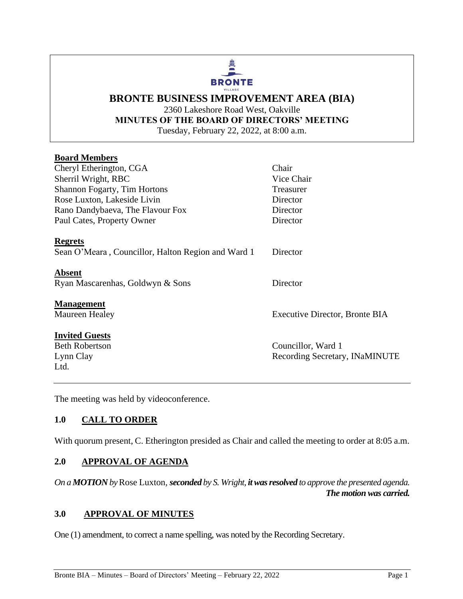#### 曡 **BRONTE** VILLAGE

#### **BRONTE BUSINESS IMPROVEMENT AREA (BIA)** 2360 Lakeshore Road West, Oakville **MINUTES OF THE BOARD OF DIRECTORS' MEETING** Tuesday, February 22, 2022, at 8:00 a.m.

#### **Board Members**

| Vice Chair                     |
|--------------------------------|
| Treasurer                      |
| Director                       |
| Director                       |
| Director                       |
|                                |
| Director                       |
|                                |
| Director                       |
|                                |
| Executive Director, Bronte BIA |
|                                |
| Councillor, Ward 1             |
| Recording Secretary, INaMINUTE |
|                                |
|                                |

The meeting was held by videoconference.

## **1.0 CALL TO ORDER**

With quorum present, C. Etherington presided as Chair and called the meeting to order at 8:05 a.m.

#### **2.0 APPROVAL OF AGENDA**

*On a MOTION by* Rose Luxton*, seconded by S. Wright, it was resolved to approve the presented agenda. The motion was carried.*

### **3.0 APPROVAL OF MINUTES**

One (1) amendment, to correct a name spelling, was noted by the Recording Secretary.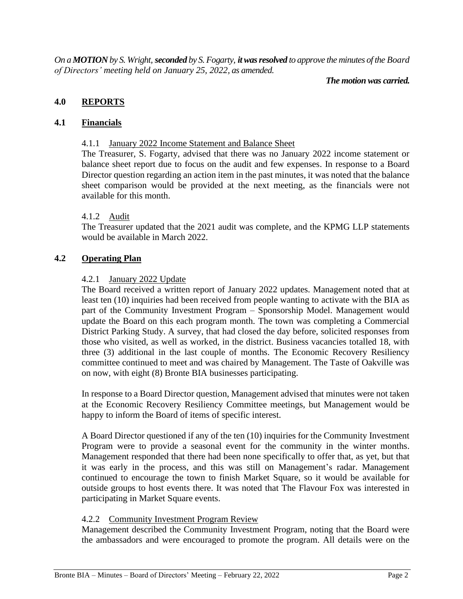*On a MOTION by S. Wright, seconded by S. Fogarty, it was resolved to approve the minutes of the Board of Directors' meeting held on January 25, 2022, as amended.*

#### *The motion was carried.*

#### **4.0 REPORTS**

#### **4.1 Financials**

#### 4.1.1 January 2022 Income Statement and Balance Sheet

The Treasurer, S. Fogarty, advised that there was no January 2022 income statement or balance sheet report due to focus on the audit and few expenses. In response to a Board Director question regarding an action item in the past minutes, it was noted that the balance sheet comparison would be provided at the next meeting, as the financials were not available for this month.

#### 4.1.2 Audit

The Treasurer updated that the 2021 audit was complete, and the KPMG LLP statements would be available in March 2022.

#### **4.2 Operating Plan**

#### 4.2.1 January 2022 Update

The Board received a written report of January 2022 updates. Management noted that at least ten (10) inquiries had been received from people wanting to activate with the BIA as part of the Community Investment Program – Sponsorship Model. Management would update the Board on this each program month. The town was completing a Commercial District Parking Study. A survey, that had closed the day before, solicited responses from those who visited, as well as worked, in the district. Business vacancies totalled 18, with three (3) additional in the last couple of months. The Economic Recovery Resiliency committee continued to meet and was chaired by Management. The Taste of Oakville was on now, with eight (8) Bronte BIA businesses participating.

In response to a Board Director question, Management advised that minutes were not taken at the Economic Recovery Resiliency Committee meetings, but Management would be happy to inform the Board of items of specific interest.

A Board Director questioned if any of the ten (10) inquiries for the Community Investment Program were to provide a seasonal event for the community in the winter months. Management responded that there had been none specifically to offer that, as yet, but that it was early in the process, and this was still on Management's radar. Management continued to encourage the town to finish Market Square, so it would be available for outside groups to host events there. It was noted that The Flavour Fox was interested in participating in Market Square events.

#### 4.2.2 Community Investment Program Review

Management described the Community Investment Program, noting that the Board were the ambassadors and were encouraged to promote the program. All details were on the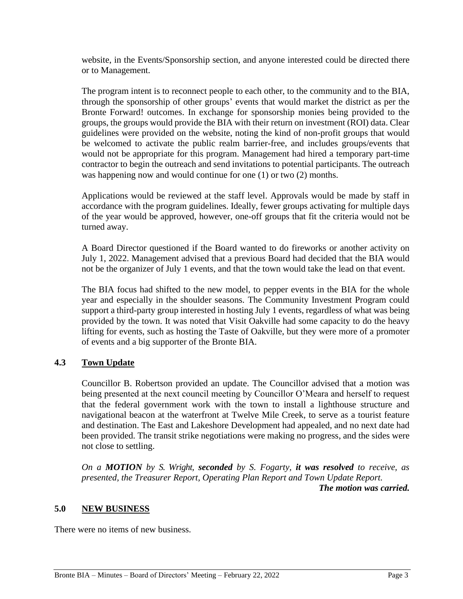website, in the Events/Sponsorship section, and anyone interested could be directed there or to Management.

The program intent is to reconnect people to each other, to the community and to the BIA, through the sponsorship of other groups' events that would market the district as per the Bronte Forward! outcomes. In exchange for sponsorship monies being provided to the groups, the groups would provide the BIA with their return on investment (ROI) data. Clear guidelines were provided on the website, noting the kind of non-profit groups that would be welcomed to activate the public realm barrier-free, and includes groups/events that would not be appropriate for this program. Management had hired a temporary part-time contractor to begin the outreach and send invitations to potential participants. The outreach was happening now and would continue for one (1) or two (2) months.

Applications would be reviewed at the staff level. Approvals would be made by staff in accordance with the program guidelines. Ideally, fewer groups activating for multiple days of the year would be approved, however, one-off groups that fit the criteria would not be turned away.

A Board Director questioned if the Board wanted to do fireworks or another activity on July 1, 2022. Management advised that a previous Board had decided that the BIA would not be the organizer of July 1 events, and that the town would take the lead on that event.

The BIA focus had shifted to the new model, to pepper events in the BIA for the whole year and especially in the shoulder seasons. The Community Investment Program could support a third-party group interested in hosting July 1 events, regardless of what was being provided by the town. It was noted that Visit Oakville had some capacity to do the heavy lifting for events, such as hosting the Taste of Oakville, but they were more of a promoter of events and a big supporter of the Bronte BIA.

#### **4.3 Town Update**

Councillor B. Robertson provided an update. The Councillor advised that a motion was being presented at the next council meeting by Councillor O'Meara and herself to request that the federal government work with the town to install a lighthouse structure and navigational beacon at the waterfront at Twelve Mile Creek, to serve as a tourist feature and destination. The East and Lakeshore Development had appealed, and no next date had been provided. The transit strike negotiations were making no progress, and the sides were not close to settling.

*On a MOTION by S. Wright, seconded by S. Fogarty, it was resolved to receive, as presented, the Treasurer Report, Operating Plan Report and Town Update Report. The motion was carried.*

#### **5.0 NEW BUSINESS**

There were no items of new business.